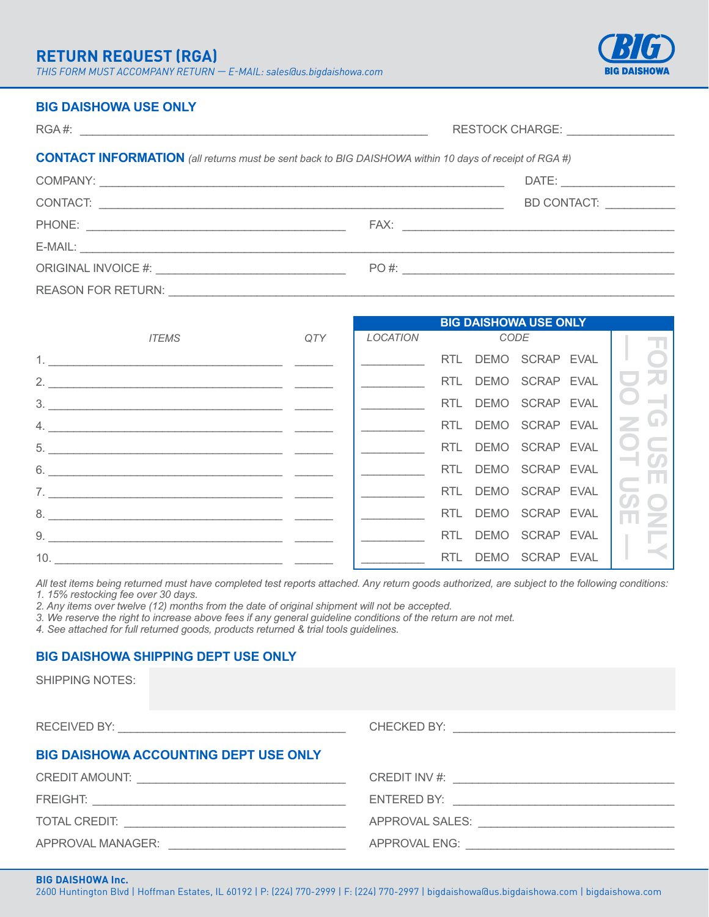# **RETURN REQUEST (RGA)**

*THIS FORM MUST ACCOMPANY RETURN — E-MAIL: sales@us.bigdaishowa.com*



**BIG DAISHOWA USE ONLY**

#### **BIG DAISHOWA USE ONLY**

|                                                                                                               |  | RESTOCK CHARGE: __________________ |  |  |  |
|---------------------------------------------------------------------------------------------------------------|--|------------------------------------|--|--|--|
| <b>CONTACT INFORMATION</b> (all returns must be sent back to BIG DAISHOWA within 10 days of receipt of RGA #) |  |                                    |  |  |  |
|                                                                                                               |  |                                    |  |  |  |
|                                                                                                               |  | BD CONTACT: __________             |  |  |  |
|                                                                                                               |  |                                    |  |  |  |
|                                                                                                               |  |                                    |  |  |  |
|                                                                                                               |  | $PO#$ :                            |  |  |  |
|                                                                                                               |  |                                    |  |  |  |

|                              |              | <b>BIG DAISHOWA USE ONLY</b> |  |                                                                       |               |
|------------------------------|--------------|------------------------------|--|-----------------------------------------------------------------------|---------------|
|                              | <i>ITEMS</i> |                              |  | QTY LOCATION CODE                                                     | TT.           |
| 1. <u>__________________</u> |              |                              |  | RTL DEMO SCRAP EVAL   O                                               |               |
| 2.                           |              |                              |  | RTL DEMO SCRAP EVAL I                                                 |               |
|                              |              |                              |  | RTL DEMO SCRAP EVAL $\Box$                                            |               |
|                              |              |                              |  | RTL DEMO SCRAP EVAL $\boxed{\geq 0}$                                  |               |
| 5.                           |              |                              |  | RTL DEMO SCRAP EVAL   O                                               |               |
|                              | 6.           |                              |  | RTL DEMO SCRAP EVAL                                                   |               |
|                              | 7.           |                              |  | RTL DEMO SCRAP EVAL                                                   |               |
| 8.                           |              |                              |  | RTL DEMO SCRAP EVAL                                                   | $\frac{8}{8}$ |
|                              | 9.           |                              |  | RTL DEMO SCRAP EVAL $\begin{array}{ c c c c c }\n\hline\n\end{array}$ |               |
| 10.                          |              |                              |  | RTL DEMO SCRAP EVAL                                                   |               |

*All test items being returned must have completed test reports attached. Any return goods authorized, are subject to the following conditions: 1. 15% restocking fee over 30 days.*

*2. Any items over twelve (12) months from the date of original shipment will not be accepted.*

*3. We reserve the right to increase above fees if any general guideline conditions of the return are not met.*

*4. See attached for full returned goods, products returned & trial tools guidelines.*

# **BIG DAISHOWA SHIPPING DEPT USE ONLY**

SHIPPING NOTES:

| <b>BIG DAISHOWA ACCOUNTING DEPT USE ONLY</b> |                                     |  |  |  |  |
|----------------------------------------------|-------------------------------------|--|--|--|--|
|                                              |                                     |  |  |  |  |
|                                              |                                     |  |  |  |  |
|                                              |                                     |  |  |  |  |
|                                              | APPROVAL MANAGER: APPROVAL MANAGER: |  |  |  |  |

#### **BIG DAISHOWA Inc.**

2600 Huntington Blvd | Hoffman Estates, IL 60192 | P: (224) 770-2999 | F: (224) 770-2997 | bigdaishowa@us.bigdaishowa.com [| bigdaishowa.com](https://www.bigdaishowa.com)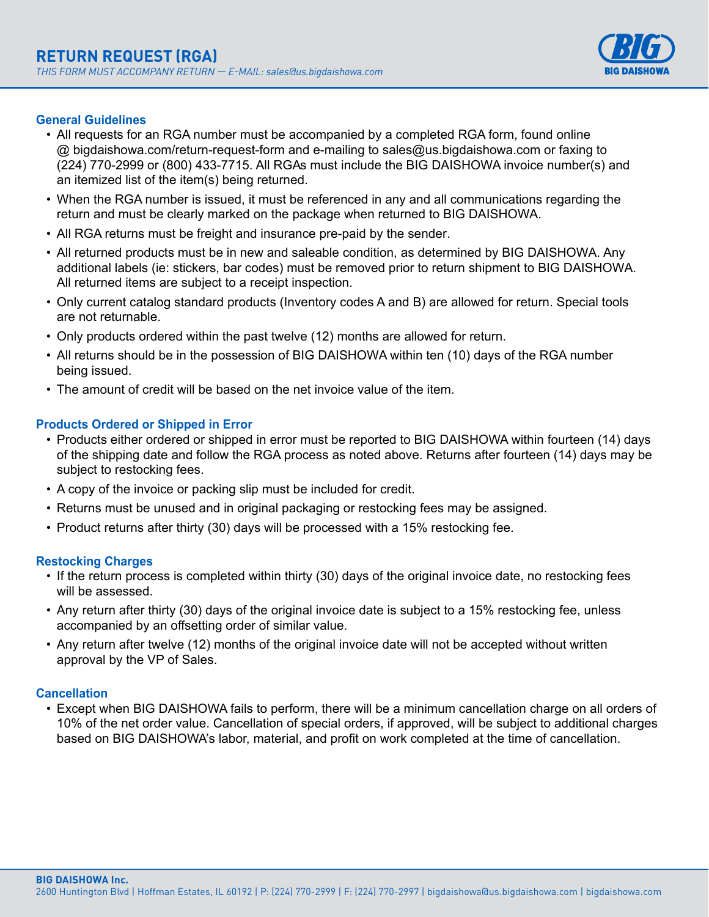

# **General Guidelines**

- All requests for an RGA number must be accompanied by a completed RGA form, found online @ bigdaishowa.com/return-request-form and e-mailing to sales@us.bigdaishowa.com or faxing to (224) 770-2999 or (800) 433-7715. All RGAs must include the BIG DAISHOWA invoice number(s) and an itemized list of the item(s) being returned.
- When the RGA number is issued, it must be referenced in any and all communications regarding the return and must be clearly marked on the package when returned to BIG DAISHOWA.
- All RGA returns must be freight and insurance pre-paid by the sender.
- All returned products must be in new and saleable condition, as determined by BIG DAISHOWA. Any additional labels (ie: stickers, bar codes) must be removed prior to return shipment to BIG DAISHOWA. All returned items are subject to a receipt inspection.
- Only current catalog standard products (Inventory codes A and B) are allowed for return. Special tools are not returnable.
- Only products ordered within the past twelve (12) months are allowed for return.
- All returns should be in the possession of BIG DAISHOWA within ten (10) days of the RGA number being issued.
- The amount of credit will be based on the net invoice value of the item.

## **Products Ordered or Shipped in Error**

- Products either ordered or shipped in error must be reported to BIG DAISHOWA within fourteen (14) days of the shipping date and follow the RGA process as noted above. Returns after fourteen (14) days may be subject to restocking fees.
- A copy of the invoice or packing slip must be included for credit.
- Returns must be unused and in original packaging or restocking fees may be assigned.
- Product returns after thirty (30) days will be processed with a 15% restocking fee.

### **Restocking Charges**

- If the return process is completed within thirty (30) days of the original invoice date, no restocking fees will be assessed.
- Any return after thirty (30) days of the original invoice date is subject to a 15% restocking fee, unless accompanied by an offsetting order of similar value.
- Any return after twelve (12) months of the original invoice date will not be accepted without written approval by the VP of Sales.

### **Cancellation**

• Except when BIG DAISHOWA fails to perform, there will be a minimum cancellation charge on all orders of 10% of the net order value. Cancellation of special orders, if approved, will be subject to additional charges based on BIG DAISHOWA's labor, material, and profit on work completed at the time of cancellation.